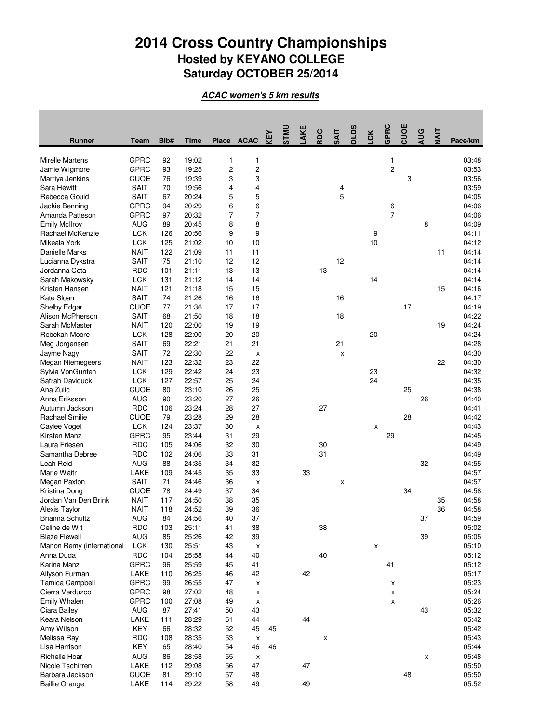## **2014 Cross Country Championships Hosted by KEYANO COLLEGE Saturday OCTOBER 25/2014**

**ACAC women's 5 km results**

| <b>Runner</b>                    | Team                       | Bib#       | Time           | Place    | <b>ACAC</b> | 下<br>KE | <b>UMLS</b> | AKE | RDC | <b>TIAS</b> | <b>OLDS</b> | <b>CK</b> | GPRC           | CUOE | <b>AUG</b> | <b>TIALT</b> | Pace/km        |
|----------------------------------|----------------------------|------------|----------------|----------|-------------|---------|-------------|-----|-----|-------------|-------------|-----------|----------------|------|------------|--------------|----------------|
| <b>Mirelle Martens</b>           | GPRC                       | 92         | 19:02          | 1        | 1           |         |             |     |     |             |             |           | 1              |      |            |              | 03:48          |
| Jamie Wigmore                    | <b>GPRC</b>                | 93         | 19:25          | 2        | 2           |         |             |     |     |             |             |           | $\overline{c}$ |      |            |              | 03:53          |
| Marriya Jenkins                  | <b>CUOE</b>                | 76         | 19:39          | 3        | 3           |         |             |     |     |             |             |           |                | 3    |            |              | 03:56          |
| Sara Hewitt                      | <b>SAIT</b>                | 70         | 19:56          | 4        | 4           |         |             |     |     | 4           |             |           |                |      |            |              | 03:59          |
| Rebecca Gould                    | SAIT                       | 67         | 20:24          | 5        | 5           |         |             |     |     | 5           |             |           |                |      |            |              | 04:05          |
| Jackie Benning                   | <b>GPRC</b>                | 94         | 20:29          | 6        | 6           |         |             |     |     |             |             |           | 6              |      |            |              | 04:06          |
| Amanda Patteson                  | <b>GPRC</b>                | 97         | 20:32          | 7        | 7           |         |             |     |     |             |             |           | 7              |      |            |              | 04:06          |
| <b>Emily McIlroy</b>             | <b>AUG</b>                 | 89         | 20:45          | 8        | 8           |         |             |     |     |             |             |           |                |      | 8          |              | 04:09          |
| Rachael McKenzie                 | <b>LCK</b>                 | 126        | 20:56          | 9        | 9           |         |             |     |     |             |             | 9         |                |      |            |              | 04:11          |
| Mikeala York                     | <b>LCK</b>                 | 125        | 21:02          | 10       | 10          |         |             |     |     |             |             | 10        |                |      |            |              | 04:12          |
| Danielle Marks                   | <b>NAIT</b>                | 122        | 21:09          | 11       | 11          |         |             |     |     |             |             |           |                |      |            | 11           | 04:14          |
| Lucianna Dykstra                 | <b>SAIT</b>                | 75         | 21:10          | 12       | 12          |         |             |     |     | 12          |             |           |                |      |            |              | 04:14          |
| Jordanna Cota                    | <b>RDC</b>                 | 101        | 21:11          | 13       | 13          |         |             |     | 13  |             |             |           |                |      |            |              | 04:14          |
| Sarah Makowsky                   | <b>LCK</b>                 | 131        | 21:12          | 14       | 14          |         |             |     |     |             |             | 14        |                |      |            |              | 04:14          |
| Kristen Hansen                   | <b>NAIT</b>                | 121        | 21:18          | 15       | 15          |         |             |     |     |             |             |           |                |      |            | 15           | 04:16          |
| Kate Sloan                       | <b>SAIT</b>                | 74         | 21:26          | 16       | 16          |         |             |     |     | 16          |             |           |                |      |            |              | 04:17          |
| <b>Shelby Edgar</b>              | CUOE                       | 77         | 21:36          | 17       | 17          |         |             |     |     |             |             |           |                | 17   |            |              | 04:19          |
| Alison McPherson                 | <b>SAIT</b>                | 68         | 21:50          | 18       | 18          |         |             |     |     | 18          |             |           |                |      |            |              | 04:22          |
| Sarah McMaster                   | <b>NAIT</b>                | 120        | 22:00          | 19       | 19          |         |             |     |     |             |             |           |                |      |            | 19           | 04:24          |
| Rebekah Moore                    | <b>LCK</b>                 | 128        | 22:00          | 20       | 20          |         |             |     |     |             |             | 20        |                |      |            |              | 04:24          |
| Meg Jorgensen                    | <b>SAIT</b>                | 69         | 22:21          | 21       | 21          |         |             |     |     | 21          |             |           |                |      |            |              | 04:28          |
| Jayme Nagy                       | SAIT                       | 72         | 22:30          | 22       | X           |         |             |     |     | X           |             |           |                |      |            |              | 04:30          |
| Megan Niemegeers                 | <b>NAIT</b>                | 123        | 22:32          | 23       | 22          |         |             |     |     |             |             |           |                |      |            | 22           | 04:30          |
| Sylvia VonGunten                 | <b>LCK</b>                 | 129        | 22:42          | 24       | 23          |         |             |     |     |             |             | 23        |                |      |            |              | 04:32          |
| Safrah Daviduck                  | <b>LCK</b>                 | 127        | 22:57          | 25       | 24          |         |             |     |     |             |             | 24        |                |      |            |              | 04:35          |
| Ana Zulic                        | <b>CUOE</b>                | 80         | 23:10          | 26       | 25          |         |             |     |     |             |             |           |                | 25   |            |              | 04:38          |
| Anna Eriksson                    | AUG                        | 90         | 23:20          | 27       | 26          |         |             |     |     |             |             |           |                |      | 26         |              | 04:40          |
| Autumn Jackson                   | <b>RDC</b>                 | 106        | 23:24          | 28       | 27          |         |             |     | 27  |             |             |           |                |      |            |              | 04:41          |
| Rachael Smilie                   | <b>CUOE</b>                | 79         | 23:28          | 29       | 28          |         |             |     |     |             |             |           |                | 28   |            |              | 04:42          |
| Caylee Vogel                     | <b>LCK</b>                 | 124        | 23:37          | 30       | x           |         |             |     |     |             |             | X         |                |      |            |              | 04:43          |
| Kirsten Manz                     | <b>GPRC</b>                | 95         | 23:44          | 31       | 29          |         |             |     |     |             |             |           | 29             |      |            |              | 04:45          |
| Laura Friesen                    | <b>RDC</b>                 | 105        | 24:06          | 32       | 30          |         |             |     | 30  |             |             |           |                |      |            |              | 04:49          |
| Samantha Debree                  | <b>RDC</b>                 | 102        | 24:06          | 33       | 31          |         |             |     | 31  |             |             |           |                |      |            |              | 04:49          |
| Leah Reid                        | AUG                        | 88         | 24:35          | 34       | 32          |         |             |     |     |             |             |           |                |      | 32         |              | 04:55          |
| Marie Waitr                      | LAKE                       | 109        | 24:45          | 35       | 33          |         |             | 33  |     |             |             |           |                |      |            |              | 04:57          |
| Megan Paxton                     | <b>SAIT</b>                | 71         | 24:46          | 36       | x           |         |             |     |     | х           |             |           |                | 34   |            |              | 04:57          |
| Kristina Dong                    | CUOE                       | 78         | 24:49          | 37       | 34          |         |             |     |     |             |             |           |                |      |            |              | 04:58          |
| Jordan Van Den Brink             | <b>NAIT</b><br><b>NAIT</b> | 117<br>118 | 24:50<br>24:52 | 38<br>39 | 35<br>36    |         |             |     |     |             |             |           |                |      |            | 35<br>36     | 04:58<br>04:58 |
| Alexis Taylor<br>Brianna Schultz | <b>AUG</b>                 | 84         | 24:56          | 40       | 37          |         |             |     |     |             |             |           |                |      | 37         |              | 04:59          |
| Celine de Wit                    | <b>RDC</b>                 | 103        | 25:11          | 41       | 38          |         |             |     | 38  |             |             |           |                |      |            |              | 05:02          |
| <b>Blaze Flewell</b>             | AUG                        | 85         | 25:26          | 42       | 39          |         |             |     |     |             |             |           |                |      | 39         |              | 05:05          |
| Manon Remy (international        | <b>LCK</b>                 | 130        | 25:51          | 43       | x           |         |             |     |     |             |             | X         |                |      |            |              | 05:10          |
| Anna Duda                        | <b>RDC</b>                 | 104        | 25:58          | 44       | 40          |         |             |     | 40  |             |             |           |                |      |            |              | 05:12          |
| Karina Manz                      | <b>GPRC</b>                | 96         | 25:59          | 45       | 41          |         |             |     |     |             |             |           | 41             |      |            |              | 05:12          |
| Ailyson Furman                   | LAKE                       | 110        | 26:25          | 46       | 42          |         |             | 42  |     |             |             |           |                |      |            |              | 05:17          |
| Tamica Campbell                  | <b>GPRC</b>                | 99         | 26:55          | 47       | x           |         |             |     |     |             |             |           | x              |      |            |              | 05:23          |
| Cierra Verduzco                  | <b>GPRC</b>                | 98         | 27:02          | 48       | x           |         |             |     |     |             |             |           | X              |      |            |              | 05:24          |
| Emily Whalen                     | <b>GPRC</b>                | 100        | 27:08          | 49       | X           |         |             |     |     |             |             |           | Χ              |      |            |              | 05:26          |
| Ciara Bailey                     | AUG                        | 87         | 27:41          | 50       | 43          |         |             |     |     |             |             |           |                |      | 43         |              | 05:32          |
| Keara Nelson                     | LAKE                       | 111        | 28:29          | 51       | 44          |         |             | 44  |     |             |             |           |                |      |            |              | 05:42          |
| Amy Wilson                       | KEY                        | 66         | 28:32          | 52       | 45          | 45      |             |     |     |             |             |           |                |      |            |              | 05:42          |
| Melissa Ray                      | <b>RDC</b>                 | 108        | 28:35          | 53       | X           |         |             |     | x   |             |             |           |                |      |            |              | 05:43          |
| Lisa Harrison                    | KEY                        | 65         | 28:40          | 54       | 46          | 46      |             |     |     |             |             |           |                |      |            |              | 05:44          |
| <b>Richelle Hoar</b>             | AUG                        | 86         | 28:58          | 55       | х           |         |             |     |     |             |             |           |                |      | X          |              | 05:48          |
| Nicole Tschirren                 | LAKE                       | 112        | 29:08          | 56       | 47          |         |             | 47  |     |             |             |           |                |      |            |              | 05:50          |
| Barbara Jackson                  | <b>CUOE</b>                | 81         | 29:10          | 57       | 48          |         |             |     |     |             |             |           |                | 48   |            |              | 05:50          |
| <b>Baillie Orange</b>            | LAKE                       | 114        | 29:22          | 58       | 49          |         |             | 49  |     |             |             |           |                |      |            |              | 05:52          |